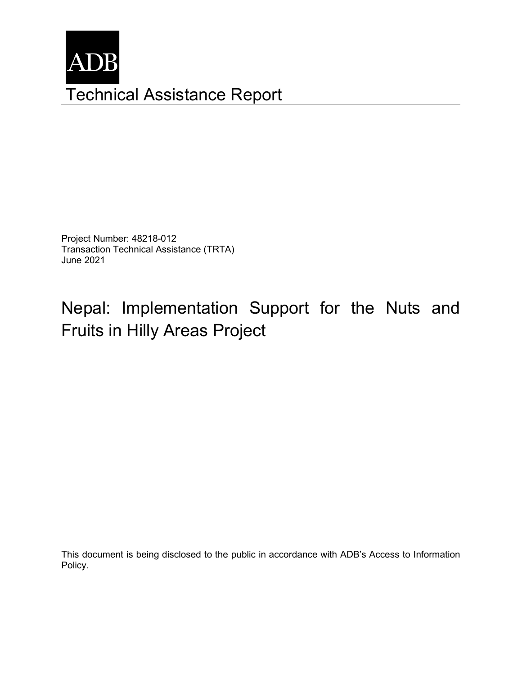

Project Number: 48218-012 Transaction Technical Assistance (TRTA) June 2021

# Nepal: Implementation Support for the Nuts and Fruits in Hilly Areas Project

This document is being disclosed to the public in accordance with ADB's Access to Information Policy.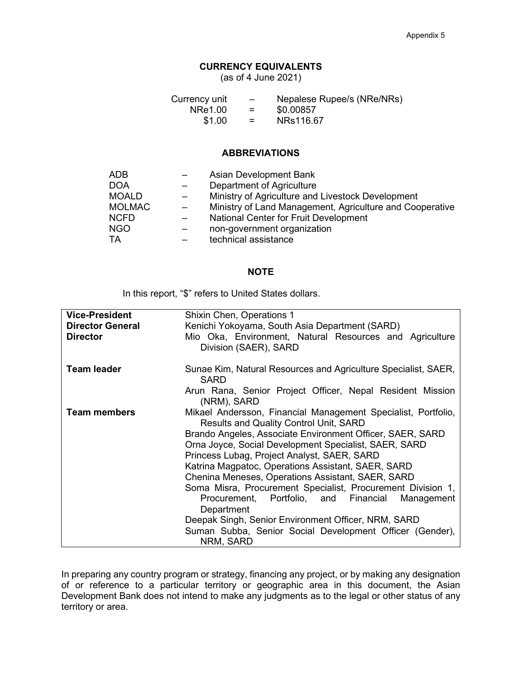#### **CURRENCY EQUIVALENTS**

(as of 4 June 2021)

| Currency unit | $\overline{\phantom{0}}$ | Nepalese Rupee/s (NRe/NRs) |
|---------------|--------------------------|----------------------------|
| NRe1.00       | $=$                      | \$0.00857                  |
| \$1.00        | $=$                      | NRs116.67                  |

#### **ABBREVIATIONS**

| ADB           |                          | Asian Development Bank                                   |
|---------------|--------------------------|----------------------------------------------------------|
| DOA           |                          | Department of Agriculture                                |
| <b>MOALD</b>  | $\overline{\phantom{m}}$ | Ministry of Agriculture and Livestock Development        |
| <b>MOLMAC</b> |                          | Ministry of Land Management, Agriculture and Cooperative |
| <b>NCFD</b>   |                          | <b>National Center for Fruit Development</b>             |
| <b>NGO</b>    |                          | non-government organization                              |
| TA            |                          | technical assistance                                     |
|               |                          |                                                          |

#### **NOTE**

In this report, "\$" refers to United States dollars.

| <b>Vice-President</b>   | Shixin Chen, Operations 1                                                                               |  |  |  |
|-------------------------|---------------------------------------------------------------------------------------------------------|--|--|--|
| <b>Director General</b> | Kenichi Yokoyama, South Asia Department (SARD)                                                          |  |  |  |
| <b>Director</b>         | Mio Oka, Environment, Natural Resources and Agriculture<br>Division (SAER), SARD                        |  |  |  |
| <b>Team leader</b>      | Sunae Kim, Natural Resources and Agriculture Specialist, SAER,<br><b>SARD</b>                           |  |  |  |
|                         | Arun Rana, Senior Project Officer, Nepal Resident Mission<br>(NRM), SARD                                |  |  |  |
| <b>Team members</b>     | Mikael Andersson, Financial Management Specialist, Portfolio,<br>Results and Quality Control Unit, SARD |  |  |  |
|                         | Brando Angeles, Associate Environment Officer, SAER, SARD                                               |  |  |  |
|                         | Orna Joyce, Social Development Specialist, SAER, SARD                                                   |  |  |  |
|                         | Princess Lubag, Project Analyst, SAER, SARD                                                             |  |  |  |
|                         | Katrina Magpatoc, Operations Assistant, SAER, SARD                                                      |  |  |  |
|                         | Chenina Meneses, Operations Assistant, SAER, SARD                                                       |  |  |  |
|                         | Soma Misra, Procurement Specialist, Procurement Division 1,                                             |  |  |  |
|                         | Procurement, Portfolio, and Financial<br>Management                                                     |  |  |  |
|                         | Department                                                                                              |  |  |  |
|                         | Deepak Singh, Senior Environment Officer, NRM, SARD                                                     |  |  |  |
|                         | Suman Subba, Senior Social Development Officer (Gender),                                                |  |  |  |
|                         | NRM, SARD                                                                                               |  |  |  |

In preparing any country program or strategy, financing any project, or by making any designation of or reference to a particular territory or geographic area in this document, the Asian Development Bank does not intend to make any judgments as to the legal or other status of any territory or area.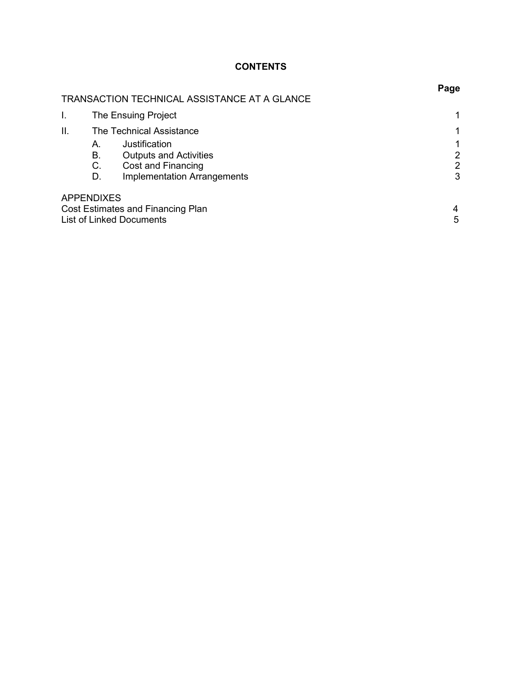## **CONTENTS**

|    |                      | TRANSACTION TECHNICAL ASSISTANCE AT A GLANCE                                                               | rage        |
|----|----------------------|------------------------------------------------------------------------------------------------------------|-------------|
|    |                      | The Ensuing Project                                                                                        |             |
| Ш. |                      | The Technical Assistance                                                                                   |             |
|    | А.<br>В.<br>C.<br>D. | Justification<br><b>Outputs and Activities</b><br>Cost and Financing<br><b>Implementation Arrangements</b> | 2<br>2<br>3 |
|    | <b>APPENDIXES</b>    | Cost Estimates and Financing Plan<br><b>List of Linked Documents</b>                                       | 4<br>5      |

# **Page**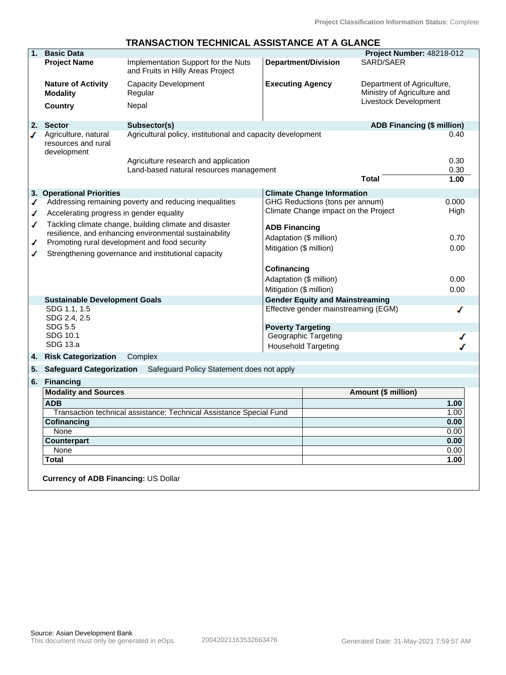|    |                                                                     | TRANSACTION TECHNICAL ASSISTANCE AT A GLANCE                             |                                 |                                        |                                                                                    |       |
|----|---------------------------------------------------------------------|--------------------------------------------------------------------------|---------------------------------|----------------------------------------|------------------------------------------------------------------------------------|-------|
| 1. | <b>Basic Data</b>                                                   |                                                                          |                                 |                                        | Project Number: 48218-012                                                          |       |
|    | <b>Project Name</b>                                                 | Implementation Support for the Nuts<br>and Fruits in Hilly Areas Project |                                 | <b>Department/Division</b>             | SARD/SAER                                                                          |       |
|    | <b>Nature of Activity</b><br><b>Modality</b>                        | <b>Capacity Development</b><br>Regular                                   | <b>Executing Agency</b>         |                                        | Department of Agriculture,<br>Ministry of Agriculture and<br>Livestock Development |       |
|    | <b>Country</b>                                                      | Nepal                                                                    |                                 |                                        |                                                                                    |       |
| 2. | <b>Sector</b>                                                       | Subsector(s)                                                             |                                 |                                        | <b>ADB Financing (\$ million)</b>                                                  |       |
| ✔  | Agriculture, natural<br>resources and rural<br>development          | Agricultural policy, institutional and capacity development              |                                 |                                        |                                                                                    | 0.40  |
|    |                                                                     | Agriculture research and application                                     |                                 |                                        |                                                                                    | 0.30  |
|    |                                                                     | Land-based natural resources management                                  |                                 |                                        |                                                                                    | 0.30  |
|    |                                                                     |                                                                          |                                 |                                        | Total                                                                              | 1.00  |
|    | 3. Operational Priorities                                           |                                                                          |                                 | <b>Climate Change Information</b>      |                                                                                    |       |
| ✔  |                                                                     | Addressing remaining poverty and reducing inequalities                   |                                 | GHG Reductions (tons per annum)        |                                                                                    | 0.000 |
| ✔  | Accelerating progress in gender equality                            |                                                                          |                                 | Climate Change impact on the Project   |                                                                                    | High  |
| ℐ  |                                                                     | Tackling climate change, building climate and disaster                   | <b>ADB Financing</b>            |                                        |                                                                                    |       |
|    |                                                                     | resilience, and enhancing environmental sustainability                   | Adaptation (\$ million)         |                                        |                                                                                    | 0.70  |
| ✔  |                                                                     | Promoting rural development and food security                            |                                 |                                        |                                                                                    |       |
|    |                                                                     | Strengthening governance and institutional capacity                      | Mitigation (\$ million)<br>0.00 |                                        |                                                                                    |       |
|    |                                                                     |                                                                          | Cofinancing                     |                                        |                                                                                    |       |
|    |                                                                     |                                                                          | Adaptation (\$ million)         |                                        |                                                                                    | 0.00  |
|    |                                                                     |                                                                          | Mitigation (\$ million)         |                                        |                                                                                    | 0.00  |
|    | <b>Sustainable Development Goals</b>                                |                                                                          |                                 | <b>Gender Equity and Mainstreaming</b> |                                                                                    |       |
|    | SDG 1.1, 1.5<br>SDG 2.4, 2.5                                        |                                                                          |                                 | Effective gender mainstreaming (EGM)   |                                                                                    |       |
|    | SDG 5.5                                                             |                                                                          | <b>Poverty Targeting</b>        |                                        |                                                                                    |       |
|    | SDG 10.1                                                            |                                                                          |                                 | Geographic Targeting                   |                                                                                    |       |
|    | SDG 13.a                                                            |                                                                          |                                 | <b>Household Targeting</b>             |                                                                                    |       |
| 4. | <b>Risk Categorization</b>                                          | Complex                                                                  |                                 |                                        |                                                                                    |       |
| 5. | <b>Safeguard Categorization</b>                                     | Safeguard Policy Statement does not apply                                |                                 |                                        |                                                                                    |       |
| 6. | <b>Financing</b>                                                    |                                                                          |                                 |                                        |                                                                                    |       |
|    | <b>Modality and Sources</b>                                         |                                                                          |                                 |                                        | Amount (\$ million)                                                                |       |
|    | <b>ADB</b>                                                          |                                                                          |                                 |                                        |                                                                                    | 1.00  |
|    | Transaction technical assistance: Technical Assistance Special Fund |                                                                          |                                 |                                        |                                                                                    | 1.00  |
|    | Cofinancing                                                         |                                                                          |                                 |                                        |                                                                                    | 0.00  |

 None 0.00 **Counterpart 0.00** None 0.00 **Total 1.00**

# **TRANSACTION TECHNICAL ASSISTANCE AT A GLANCE**

**Currency of ADB Financing:** US Dollar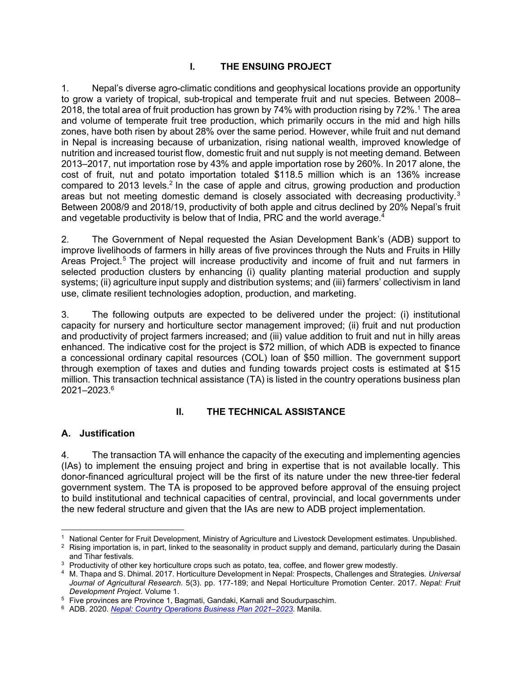#### **I. THE ENSUING PROJECT**

1. Nepal's diverse agro-climatic conditions and geophysical locations provide an opportunity to grow a variety of tropical, sub-tropical and temperate fruit and nut species. Between 2008– 2018, the total area of fruit production has grown by 74% with production rising by 72%. $^{\rm 1}$  The area and volume of temperate fruit tree production, which primarily occurs in the mid and high hills zones, have both risen by about 28% over the same period. However, while fruit and nut demand in Nepal is increasing because of urbanization, rising national wealth, improved knowledge of nutrition and increased tourist flow, domestic fruit and nut supply is not meeting demand. Between 2013–2017, nut importation rose by 43% and apple importation rose by 260%. In 2017 alone, the cost of fruit, nut and potato importation totaled \$118.5 million which is an 136% increase compared to 2013 levels.<sup>2</sup> In the case of apple and citrus, growing production and production areas but not meeting domestic demand is closely associated with decreasing productivity.<sup>3</sup> Between 2008/9 and 2018/19, productivity of both apple and citrus declined by 20% Nepal's fruit and vegetable productivity is below that of India, PRC and the world average.<sup>4</sup>

2. The Government of Nepal requested the Asian Development Bank's (ADB) support to improve livelihoods of farmers in hilly areas of five provinces through the Nuts and Fruits in Hilly Areas Project.<sup>5</sup> The project will increase productivity and income of fruit and nut farmers in selected production clusters by enhancing (i) quality planting material production and supply systems; (ii) agriculture input supply and distribution systems; and (iii) farmers' collectivism in land use, climate resilient technologies adoption, production, and marketing.

3. The following outputs are expected to be delivered under the project: (i) institutional capacity for nursery and horticulture sector management improved; (ii) fruit and nut production and productivity of project farmers increased; and (iii) value addition to fruit and nut in hilly areas enhanced. The indicative cost for the project is \$72 million, of which ADB is expected to finance a concessional ordinary capital resources (COL) loan of \$50 million. The government support through exemption of taxes and duties and funding towards project costs is estimated at \$15 million. This transaction technical assistance (TA) is listed in the country operations business plan 2021–2023.<sup>6</sup>

#### **II. THE TECHNICAL ASSISTANCE**

#### **A. Justification**

4. The transaction TA will enhance the capacity of the executing and implementing agencies (IAs) to implement the ensuing project and bring in expertise that is not available locally. This donor-financed agricultural project will be the first of its nature under the new three-tier federal government system. The TA is proposed to be approved before approval of the ensuing project to build institutional and technical capacities of central, provincial, and local governments under the new federal structure and given that the IAs are new to ADB project implementation.

<sup>1</sup> National Center for Fruit Development, Ministry of Agriculture and Livestock Development estimates. Unpublished.

 $^2\,$  Rising importation is, in part, linked to the seasonality in product supply and demand, particularly during the Dasain and Tihar festivals.

 $3$  Productivity of other key horticulture crops such as potato, tea, coffee, and flower grew modestly.

<sup>4</sup> M. Thapa and S. Dhimal. 2017. Horticulture Development in Nepal: Prospects, Challenges and Strategies. *Universal Journal of Agricultural Research.* 5(3). pp. 177-189; and Nepal Horticulture Promotion Center. 2017. *Nepal: Fruit Development Project*. Volume 1.

<sup>&</sup>lt;sup>5</sup> Five provinces are Province 1, Bagmati, Gandaki, Karnali and Soudurpaschim.

<sup>6</sup> ADB. 2020. *Nepal: Country Operations Business Plan 2021–2023*. Manila.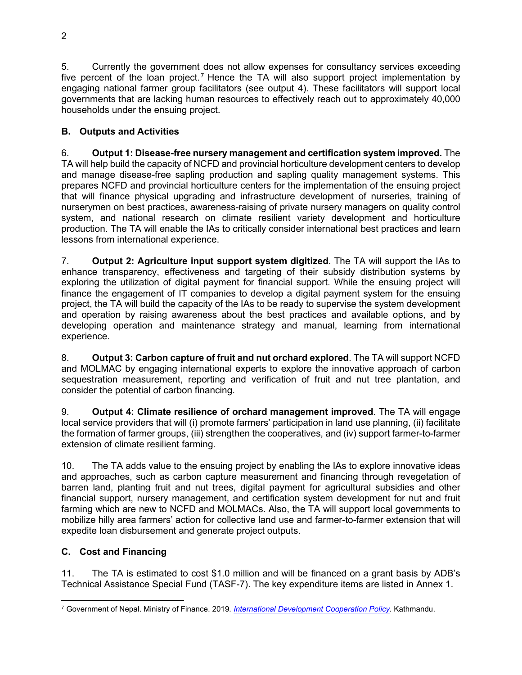5. Currently the government does not allow expenses for consultancy services exceeding five percent of the loan project.<sup>7</sup> Hence the TA will also support project implementation by engaging national farmer group facilitators (see output 4). These facilitators will support local governments that are lacking human resources to effectively reach out to approximately 40,000 households under the ensuing project.

## **B. Outputs and Activities**

6. **Output 1: Disease-free nursery management and certification system improved.** The TA will help build the capacity of NCFD and provincial horticulture development centers to develop and manage disease-free sapling production and sapling quality management systems. This prepares NCFD and provincial horticulture centers for the implementation of the ensuing project that will finance physical upgrading and infrastructure development of nurseries, training of nurserymen on best practices, awareness-raising of private nursery managers on quality control system, and national research on climate resilient variety development and horticulture production. The TA will enable the IAs to critically consider international best practices and learn lessons from international experience.

7. **Output 2: Agriculture input support system digitized**. The TA will support the IAs to enhance transparency, effectiveness and targeting of their subsidy distribution systems by exploring the utilization of digital payment for financial support. While the ensuing project will finance the engagement of IT companies to develop a digital payment system for the ensuing project, the TA will build the capacity of the IAs to be ready to supervise the system development and operation by raising awareness about the best practices and available options, and by developing operation and maintenance strategy and manual, learning from international experience.

8. **Output 3: Carbon capture of fruit and nut orchard explored**. The TA will support NCFD and MOLMAC by engaging international experts to explore the innovative approach of carbon sequestration measurement, reporting and verification of fruit and nut tree plantation, and consider the potential of carbon financing.

9. **Output 4: Climate resilience of orchard management improved**. The TA will engage local service providers that will (i) promote farmers' participation in land use planning, (ii) facilitate the formation of farmer groups, (iii) strengthen the cooperatives, and (iv) support farmer-to-farmer extension of climate resilient farming.

10. The TA adds value to the ensuing project by enabling the IAs to explore innovative ideas and approaches, such as carbon capture measurement and financing through revegetation of barren land, planting fruit and nut trees, digital payment for agricultural subsidies and other financial support, nursery management, and certification system development for nut and fruit farming which are new to NCFD and MOLMACs. Also, the TA will support local governments to mobilize hilly area farmers' action for collective land use and farmer-to-farmer extension that will expedite loan disbursement and generate project outputs.

## **C. Cost and Financing**

11. The TA is estimated to cost \$1.0 million and will be financed on a grant basis by ADB's Technical Assistance Special Fund (TASF-7). The key expenditure items are listed in Annex 1.

<sup>7</sup> Government of Nepal. Ministry of Finance. 2019*. International Development Cooperation Policy.* Kathmandu.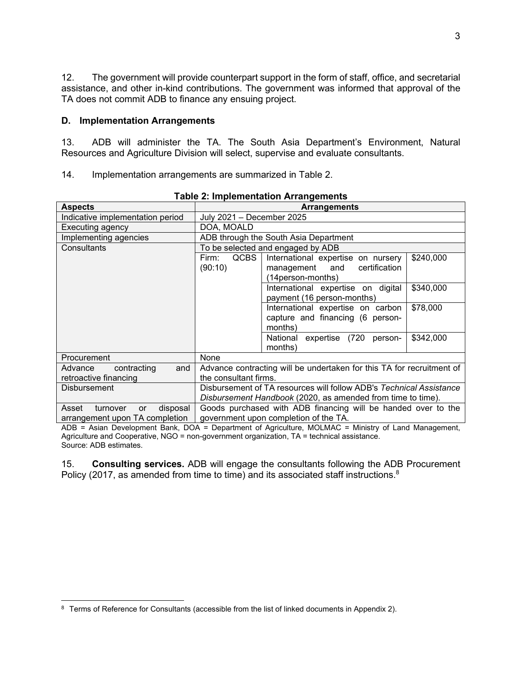12. The government will provide counterpart support in the form of staff, office, and secretarial assistance, and other in-kind contributions. The government was informed that approval of the TA does not commit ADB to finance any ensuing project.

#### **D. Implementation Arrangements**

13. ADB will administer the TA. The South Asia Department's Environment, Natural Resources and Agriculture Division will select, supervise and evaluate consultants.

14. Implementation arrangements are summarized in Table 2.

| $1$ as $\sigma$ . Impromotive to the funding choice                   |                                                                                                                                               |  |  |  |  |
|-----------------------------------------------------------------------|-----------------------------------------------------------------------------------------------------------------------------------------------|--|--|--|--|
| <b>Aspects</b>                                                        | <b>Arrangements</b>                                                                                                                           |  |  |  |  |
| Indicative implementation period                                      | July 2021 - December 2025                                                                                                                     |  |  |  |  |
| Executing agency                                                      | DOA, MOALD                                                                                                                                    |  |  |  |  |
| Implementing agencies                                                 | ADB through the South Asia Department                                                                                                         |  |  |  |  |
| Consultants                                                           | To be selected and engaged by ADB                                                                                                             |  |  |  |  |
|                                                                       | <b>QCBS</b><br>International expertise on nursery<br>\$240,000<br>Firm:<br>(90:10)<br>and<br>certification<br>management<br>(14person-months) |  |  |  |  |
|                                                                       | \$340,000<br>International expertise on digital<br>payment (16 person-months)                                                                 |  |  |  |  |
|                                                                       | \$78,000<br>International expertise on carbon<br>capture and financing (6 person-<br>months)                                                  |  |  |  |  |
|                                                                       | \$342,000<br>National expertise (720<br>person-<br>months)                                                                                    |  |  |  |  |
| Procurement                                                           | None                                                                                                                                          |  |  |  |  |
| contracting<br>Advance<br>and<br>retroactive financing                | Advance contracting will be undertaken for this TA for recruitment of<br>the consultant firms.                                                |  |  |  |  |
| <b>Disbursement</b>                                                   | Disbursement of TA resources will follow ADB's Technical Assistance<br>Disbursement Handbook (2020, as amended from time to time).            |  |  |  |  |
| Asset<br>disposal<br>turnover<br>or<br>arrangement upon TA completion | Goods purchased with ADB financing will be handed over to the<br>government upon completion of the TA.                                        |  |  |  |  |

#### **Table 2: Implementation Arrangements**

ADB = Asian Development Bank, DOA = Department of Agriculture, MOLMAC = Ministry of Land Management, Agriculture and Cooperative, NGO = non-government organization, TA = technical assistance. Source: ADB estimates.

15. **Consulting services.** ADB will engage the consultants following the ADB Procurement Policy (2017, as amended from time to time) and its associated staff instructions. $8$ 

<sup>&</sup>lt;sup>8</sup> Terms of Reference for Consultants (accessible from the list of linked documents in Appendix 2).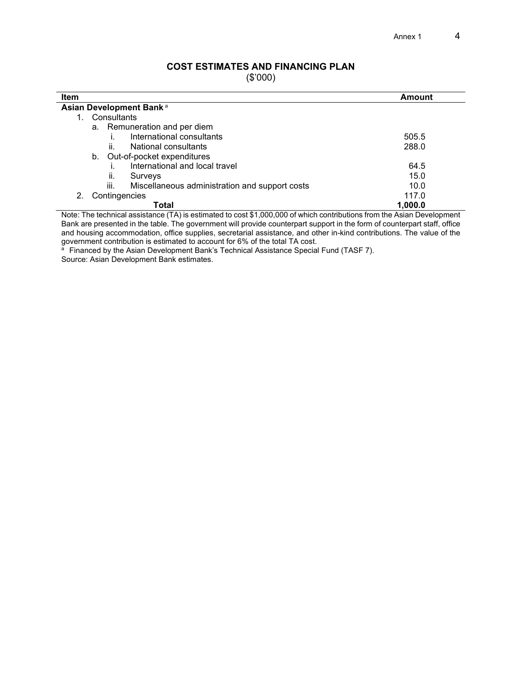#### **COST ESTIMATES AND FINANCING PLAN**

(\$'000)

| <b>Item</b>                                            | <b>Amount</b> |  |  |  |
|--------------------------------------------------------|---------------|--|--|--|
| Asian Development Bank <sup>a</sup>                    |               |  |  |  |
| Consultants                                            |               |  |  |  |
| a. Remuneration and per diem                           |               |  |  |  |
| International consultants                              | 505.5         |  |  |  |
| ii.<br>National consultants                            | 288.0         |  |  |  |
| Out-of-pocket expenditures<br>b.                       |               |  |  |  |
| International and local travel                         | 64.5          |  |  |  |
| ii.<br>Surveys                                         | 15.0          |  |  |  |
| iii.<br>Miscellaneous administration and support costs | 10.0          |  |  |  |
| Contingencies                                          | 117.0         |  |  |  |
| Total                                                  | 1.000.0       |  |  |  |

Note: The technical assistance (TA) is estimated to cost \$1,000,000 of which contributions from the Asian Development Bank are presented in the table. The government will provide counterpart support in the form of counterpart staff, office and housing accommodation, office supplies, secretarial assistance, and other in-kind contributions. The value of the

government contribution is estimated to account for 6% of the total TA cost.<br>ª Financed by the Asian Development Bank's Technical Assistance Special Fund (TASF 7). Source: Asian Development Bank estimates.